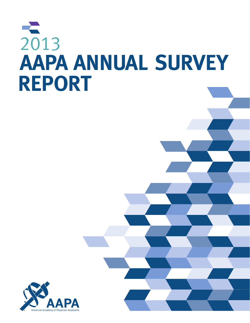# 2013 **AAPA ANNUAL SURVEY REPORT**

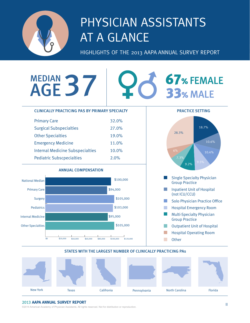

## PHYSICIAN ASSISTANTS AT A GLANCE

HIGHLIGHTS OF THE 2013 AAPA ANNUAL SURVEY REPORT

## MEDIAN AGE

## **67% FEMALE 33% MALE**

#### CLINICALLY PRACTICING PAS BY PRIMARY SPECIALTY PRACTICE SETTING Primary Care 32.0% 18.7% Surgical Subspecialties 27.0% 28.3% Other Specialties 19.0% 10.6% Emergency Medicine 11.0% Internal Medicine Subspecialties 10.0% 10.4% Pediatric Subscpecialties 2.0% 7.3%  $9.2%$ ANNUAL COMPENSATION Single Specialty Physician National Median **\$100,000** Group Practice Inpatient Unit of Hospital Primary Care \$94,000 n a (not ICU/CCU) \$105,000 Surgery Solo Physician Practice Office m. Pediatrics \$103,000  $\mathcal{L}^{\mathcal{L}}$ Hospital Emergency Room Multi-Specialty Physician  $\sim 10$ Internal Medicine \$95,000 Group Practice

 $\sim$ Outpatient Unit of Hospital

- T. Hospital Operating Room
- **College Other**

#### STATES WITH THE LARGEST NUMBER OF CLINICALLY PRACTICING PAs

\$105,000



#### 2013 **AAPA ANNUAL SURVEY REPORT**

Other Specialties

©2014 American Academy of Physician Assistants. All rights reserved. Not for distribution or reproduction. ii

\$0 \$20,000 \$40,000 \$60,000 \$80,000 \$100,000 \$120,000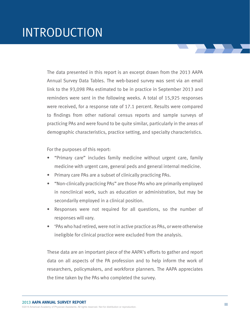The data presented in this report is an excerpt drawn from the 2013 AAPA Annual Survey Data Tables. The web-based survey was sent via an email link to the 93,098 PAs estimated to be in practice in September 2013 and reminders were sent in the following weeks. A total of 15,925 responses were received, for a response rate of 17.1 percent. Results were compared to findings from other national census reports and sample surveys of practicing PAs and were found to be quite similar, particularly in the areas of demographic characteristics, practice setting, and specialty characteristics.

For the purposes of this report:

- "Primary care" includes family medicine without urgent care, family medicine with urgent care, general peds and general internal medicine.
- Primary care PAs are a subset of clinically practicing PAs.
- "Non-clinically practicing PAs" are those PAs who are primarily employed in nonclinical work, such as education or administration, but may be secondarily employed in a clinical position.
- Responses were not required for all questions, so the number of responses will vary.
- 'PAs who had retired, were not in active practice as PAs, or were otherwise ineligible for clinical practice were excluded from the analysis.

These data are an important piece of the AAPA's efforts to gather and report data on all aspects of the PA profession and to help inform the work of researchers, policymakers, and workforce planners. The AAPA appreciates the time taken by the PAs who completed the survey.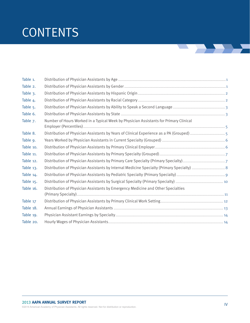## **CONTENTS**

| Table 1.  |                                                                                       |  |
|-----------|---------------------------------------------------------------------------------------|--|
| Table 2.  |                                                                                       |  |
| Table 3.  |                                                                                       |  |
| Table 4.  |                                                                                       |  |
| Table 5.  |                                                                                       |  |
| Table 6.  |                                                                                       |  |
| Table 7.  | Number of Hours Worked in a Typical Week by Physician Assistants for Primary Clinical |  |
| Table 8.  |                                                                                       |  |
| Table 9.  |                                                                                       |  |
| Table 10. |                                                                                       |  |
| Table 11. |                                                                                       |  |
| Table 12. |                                                                                       |  |
| Table 13. |                                                                                       |  |
| Table 14. |                                                                                       |  |
| Table 15. |                                                                                       |  |
| Table 16. | Distribution of Physician Assistants by Emergency Medicine and Other Specialties      |  |
| Table 17  |                                                                                       |  |
| Table 18. |                                                                                       |  |
| Table 19. |                                                                                       |  |
| Table 20. |                                                                                       |  |

<u> Tanzania de la provincia de la provincia de la provincia de la provincia de la provincia de la provincia de l</u>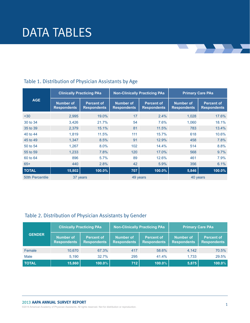|                        | <b>Clinically Practicing PAs</b>       |                                         |                                        | <b>Non-Clinically Practicing PAs</b>    |                                 | <b>Primary Care PAs</b>                 |  |
|------------------------|----------------------------------------|-----------------------------------------|----------------------------------------|-----------------------------------------|---------------------------------|-----------------------------------------|--|
| <b>AGE</b>             | <b>Number of</b><br><b>Respondents</b> | <b>Percent of</b><br><b>Respondents</b> | <b>Number of</b><br><b>Respondents</b> | <b>Percent of</b><br><b>Respondents</b> | Number of<br><b>Respondents</b> | <b>Percent of</b><br><b>Respondents</b> |  |
| $30$                   | 2,995                                  | 19.0%                                   | 17                                     | 2.4%                                    | 1,028                           | 17.6%                                   |  |
| 30 to 34               | 3,426                                  | 21.7%                                   | 54                                     | 7.6%                                    | 1,060                           | 18.1%                                   |  |
| 35 to 39               | 2,379                                  | 15.1%                                   | 81                                     | 11.5%                                   | 783                             | 13.4%                                   |  |
| 40 to 44               | 1,819                                  | 11.5%                                   | 111                                    | 15.7%                                   | 618                             | 10.6%                                   |  |
| 45 to 49               | 1,347                                  | 8.5%                                    | 91                                     | 12.9%                                   | 458                             | 7.8%                                    |  |
| 50 to 54               | 1,267                                  | 8.0%                                    | 102                                    | 14.4%                                   | 514                             | 8.8%                                    |  |
| 55 to 59               | 1.233                                  | 7.8%                                    | 120                                    | 17.0%                                   | 568                             | 9.7%                                    |  |
| 60 to 64               | 896                                    | 5.7%                                    | 89                                     | 12.6%                                   | 461                             | 7.9%                                    |  |
| $65+$                  | 440                                    | 2.8%                                    | 42                                     | 5.9%                                    | 356                             | 6.1%                                    |  |
| <b>TOTAL</b>           | 15,802                                 | 100.0%                                  | 707                                    | 100.0%                                  | 5,846                           | 100.0%                                  |  |
| <b>50th Percentile</b> | 37 years                               |                                         | 49 years                               |                                         | 40 years                        |                                         |  |

 $\mathbf{L}$ 

#### Table 1. Distribution of Physician Assistants by Age

#### Table 2. Distribution of Physician Assistants by Gender

|               | <b>Clinically Practicing PAs</b>       |                                         | <b>Non-Clinically Practicing PAs</b> |                                         | <b>Primary Care PAs</b>         |                                         |  |
|---------------|----------------------------------------|-----------------------------------------|--------------------------------------|-----------------------------------------|---------------------------------|-----------------------------------------|--|
| <b>GENDER</b> | <b>Number of</b><br><b>Respondents</b> | <b>Percent of</b><br><b>Respondents</b> | Number of<br><b>Respondents</b>      | <b>Percent of</b><br><b>Respondents</b> | Number of<br><b>Respondents</b> | <b>Percent of</b><br><b>Respondents</b> |  |
| Female        | 10,670                                 | 67.3%                                   | 417                                  | 58.6%                                   | 4,142                           | 70.5%                                   |  |
| Male          | 5.190                                  | 32.7%                                   | 295                                  | 41.4%                                   | 1.733                           | 29.5%                                   |  |
| <b>TOTAL</b>  | 15,860                                 | $100.0\%$                               | 712                                  | 100.0%                                  | 5,875                           | 100.0%                                  |  |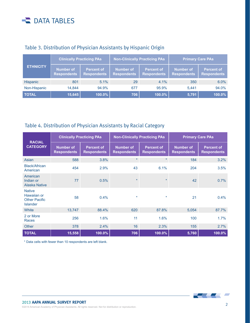|                  | <b>Clinically Practicing PAs</b> |                                         | <b>Non-Clinically Practicing PAs</b>   |                                         | <b>Primary Care PAs</b>                |                                         |
|------------------|----------------------------------|-----------------------------------------|----------------------------------------|-----------------------------------------|----------------------------------------|-----------------------------------------|
| <b>ETHNICITY</b> | Number of<br><b>Respondents</b>  | <b>Percent of</b><br><b>Respondents</b> | <b>Number of</b><br><b>Respondents</b> | <b>Percent of</b><br><b>Respondents</b> | <b>Number of</b><br><b>Respondents</b> | <b>Percent of</b><br><b>Respondents</b> |
| <b>Hispanic</b>  | 801                              | 5.1%                                    | 29                                     | 4.1%                                    | 350                                    | 6.0%                                    |
| Non-Hispanic     | 14.844                           | 94.9%                                   | 677                                    | 95.9%                                   | 5.441                                  | 94.0%                                   |
| <b>TOTAL</b>     | 15,645                           | 100.0%                                  | 706                                    | 100.0%                                  | 5,791                                  | 100.0%                                  |

#### Table 3. Distribution of Physician Assistants by Hispanic Origin

#### Table 4. Distribution of Physician Assistants by Racial Category

| <b>RACIAL</b>                                                           | <b>Clinically Practicing PAs</b>       |                                         | <b>Non-Clinically Practicing PAs</b>   |                                         | <b>Primary Care PAs</b>                |                                         |
|-------------------------------------------------------------------------|----------------------------------------|-----------------------------------------|----------------------------------------|-----------------------------------------|----------------------------------------|-----------------------------------------|
| <b>CATEGORY</b>                                                         | <b>Number of</b><br><b>Respondents</b> | <b>Percent of</b><br><b>Respondents</b> | <b>Number of</b><br><b>Respondents</b> | <b>Percent of</b><br><b>Respondents</b> | <b>Number of</b><br><b>Respondents</b> | <b>Percent of</b><br><b>Respondents</b> |
| Asian                                                                   | 588                                    | 3.8%                                    | $\star$                                | $\ast$                                  | 184                                    | 3.2%                                    |
| Black/African<br>American                                               | 454                                    | 2.9%                                    | 43                                     | 6.1%                                    | 204                                    | 3.5%                                    |
| American<br>Indian or<br><b>Alaska Native</b>                           | 77                                     | 0.5%                                    | $\star$                                | $\star$                                 | 42                                     | 0.7%                                    |
| <b>Native</b><br>Hawaiian or<br><b>Other Pacific</b><br><b>Islander</b> | 58                                     | $0.4\%$                                 | $\star$                                | $\star$                                 | 21                                     | $0.4\%$                                 |
| White                                                                   | 13,747                                 | 88.4%                                   | 620                                    | 87.8%                                   | 5,054                                  | 87.7%                                   |
| 2 or More<br>Races                                                      | 256                                    | 1.6%                                    | 11                                     | 1.6%                                    | 100                                    | 1.7%                                    |
| Other                                                                   | 378                                    | 2.4%                                    | 16                                     | 2.3%                                    | 155                                    | 2.7%                                    |
| <b>TOTAL</b>                                                            | 15,558                                 | 100.0%                                  | 706                                    | 100.0%                                  | 5,760                                  | 100.0%                                  |

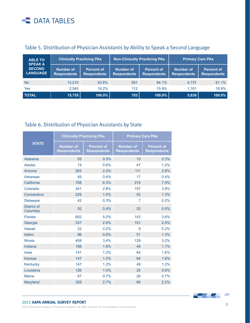| <b>ABLE TO</b><br><b>SPEAK A</b> | <b>Clinically Practicing PAs</b>       |                                         | <b>Non-Clinically Practicing PAs</b>   |                                         | <b>Primary Care PAs</b>                |                                         |
|----------------------------------|----------------------------------------|-----------------------------------------|----------------------------------------|-----------------------------------------|----------------------------------------|-----------------------------------------|
| <b>SECOND</b><br><b>LANGUAGE</b> | <b>Number of</b><br><b>Respondents</b> | <b>Percent of</b><br><b>Respondents</b> | <b>Number of</b><br><b>Respondents</b> | <b>Percent of</b><br><b>Respondents</b> | <b>Number of</b><br><b>Respondents</b> | <b>Percent of</b><br><b>Respondents</b> |
| <b>No</b>                        | 13.210                                 | 83.8%                                   | 591                                    | 84.1%                                   | 4.737                                  | 81.1%                                   |
| Yes                              | 2.545                                  | 16.2%                                   | 112                                    | 15.9%                                   | 1.101                                  | 18.9%                                   |
| <b>TOTAL</b>                     | 15,755                                 | $100.0\%$                               | 703                                    | 100.0%                                  | 5,838                                  | 100.0%                                  |

#### Table 5. Distribution of Physician Assistants by Ability to Speak a Second Language

#### Table 6. Distribution of Physician Assistants by State

|                                |                                        | <b>Clinically Practicing PAs</b>        | <b>Primary Care PAs</b>                |                                         |  |
|--------------------------------|----------------------------------------|-----------------------------------------|----------------------------------------|-----------------------------------------|--|
| <b>STATE</b>                   | <b>Number of</b><br><b>Respondents</b> | <b>Percent of</b><br><b>Respondents</b> | <b>Number of</b><br><b>Respondents</b> | <b>Percent of</b><br><b>Respondents</b> |  |
| Alabama                        | 55                                     | 0.5%                                    | 13                                     | 0.3%                                    |  |
| <b>Alaska</b>                  | 74                                     | 0.6%                                    | 47                                     | 1.2%                                    |  |
| Arizona                        | 263                                    | 2.2%                                    | 111                                    | 2.8%                                    |  |
| <b>Arkansas</b>                | 45                                     | 0.4%                                    | 17                                     | 0.4%                                    |  |
| California                     | 768                                    | 6.3%                                    | 315                                    | 7.9%                                    |  |
| Colorado                       | 341                                    | 2.8%                                    | 157                                    | 3.9%                                    |  |
| Connecticut                    | 229                                    | 1.9%                                    | 52                                     | 1.3%                                    |  |
| <b>Delaware</b>                | 42                                     | 0.3%                                    | 7                                      | 0.2%                                    |  |
| <b>District of</b><br>Columbia | 52                                     | 0.4%                                    | 20                                     | 0.5%                                    |  |
| <b>Florida</b>                 | 602                                    | 5.0%                                    | 143                                    | 3.6%                                    |  |
| Georgia                        | 337                                    | 2.8%                                    | 101                                    | 2.5%                                    |  |
| Hawaii                         | 22                                     | 0.2%                                    | 9                                      | 0.2%                                    |  |
| Idaho                          | 96                                     | 0.8%                                    | 51                                     | 1.3%                                    |  |
| <b>Illinois</b>                | 408                                    | 3.4%                                    | 129                                    | 3.2%                                    |  |
| Indiana                        | 188                                    | 1.6%                                    | 45                                     | 1.1%                                    |  |
| lowa                           | 141                                    | 1.2%                                    | 64                                     | 1.6%                                    |  |
| <b>Kansas</b>                  | 147                                    | 1.2%                                    | 64                                     | 1.6%                                    |  |
| Kentucky                       | 147                                    | 1.2%                                    | 49                                     | 1.2%                                    |  |
| Louisiana                      | 126                                    | 1.0%                                    | 25                                     | 0.6%                                    |  |
| <b>Maine</b>                   | 87                                     | 0.7%                                    | 26                                     | 0.7%                                    |  |
| Maryland                       | 329                                    | 2.7%                                    | 89                                     | 2.2%                                    |  |

#### 2013 **AAPA ANNUAL SURVEY REPORT**



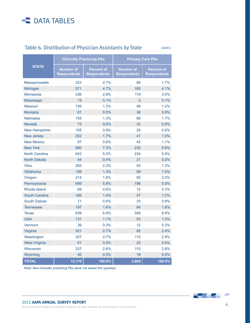#### Table 6. Distribution of Physician Assistants by State

(cont.)

|                       |                                        | <b>Clinically Practicing PAs</b>        | <b>Primary Care PAs</b>                |                                         |  |
|-----------------------|----------------------------------------|-----------------------------------------|----------------------------------------|-----------------------------------------|--|
| <b>STATE</b>          | <b>Number of</b><br><b>Respondents</b> | <b>Percent of</b><br><b>Respondents</b> | <b>Number of</b><br><b>Respondents</b> | <b>Percent of</b><br><b>Respondents</b> |  |
| <b>Massachusetts</b>  | 323                                    | 2.7%                                    | 68                                     | 1.7%                                    |  |
| Michigan              | 571                                    | 4.7%                                    | 165                                    | 4.1%                                    |  |
| <b>Minnesota</b>      | 336                                    | 2.8%                                    | 119                                    | 3.0%                                    |  |
| <b>Mississippi</b>    | 15                                     | 0.1%                                    | 5                                      | 0.1%                                    |  |
| <b>Missouri</b>       | 159                                    | 1.3%                                    | 46                                     | 1.2%                                    |  |
| <b>Montana</b>        | 61                                     | 0.5%                                    | 36                                     | 0.9%                                    |  |
| <b>Nebraska</b>       | 155                                    | 1.3%                                    | 68                                     | 1.7%                                    |  |
| <b>Nevada</b>         | 72                                     | 0.6%                                    | 32                                     | 0.8%                                    |  |
| <b>New Hampshire</b>  | 105                                    | 0.9%                                    | 25                                     | 0.6%                                    |  |
| <b>New Jersey</b>     | 202                                    | 1.7%                                    | 41                                     | 1.0%                                    |  |
| <b>New Mexico</b>     | 97                                     | 0.8%                                    | 42                                     | 1.1%                                    |  |
| <b>New York</b>       | 880                                    | 7.3%                                    | 232                                    | 5.8%                                    |  |
| <b>North Carolina</b> | 643                                    | 5.3%                                    | 234                                    | 5.9%                                    |  |
| <b>North Dakota</b>   | 44                                     | 0.4%                                    | 21                                     | 0.5%                                    |  |
| Ohio                  | 282                                    | 2.3%                                    | 50                                     | 1.3%                                    |  |
| <b>Oklahoma</b>       | 156                                    | 1.3%                                    | 59                                     | 1.5%                                    |  |
| Oregon                | 214                                    | 1.8%                                    | 80                                     | 2.0%                                    |  |
| Pennsylvania          | 699                                    | 5.8%                                    | 198                                    | 5.0%                                    |  |
| <b>Rhode Island</b>   | 69                                     | 0.6%                                    | 12                                     | 0.3%                                    |  |
| <b>South Carolina</b> | 166                                    | 1.4%                                    | 47                                     | 1.2%                                    |  |
| <b>South Dakota</b>   | 71                                     | 0.6%                                    | 33                                     | 0.8%                                    |  |
| <b>Tennessee</b>      | 197                                    | 1.6%                                    | 64                                     | 1.6%                                    |  |
| <b>Texas</b>          | 838                                    | 6.9%                                    | 349                                    | 8.8%                                    |  |
| <b>Utah</b>           | 131                                    | 1.1%                                    | 53                                     | 1.3%                                    |  |
| Vermont               | 39                                     | 0.3%                                    | 12                                     | 0.3%                                    |  |
| Virginia              | 321                                    | 2.7%                                    | 95                                     | 2.4%                                    |  |
| Washington            | 327                                    | 2.7%                                    | 115                                    | 2.9%                                    |  |
| <b>West Virginia</b>  | 61                                     | 0.5%                                    | 22                                     | 0.6%                                    |  |
| <b>Wisconsin</b>      | 337                                    | 2.8%                                    | 110                                    | 2.8%                                    |  |
| Wyoming               | 40                                     | 0.3%                                    | 18                                     | 0.5%                                    |  |
| <b>TOTAL</b>          | 12,110                                 | 100.0%                                  | 3,985                                  | 100.0%                                  |  |

Note: Non-clinically practicing PAs were not asked this question.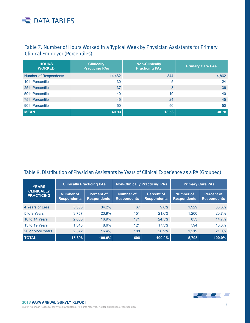#### Table 7. Number of Hours Worked in a Typical Week by Physician Assistants for Primary Clinical Employer (Percentiles)

| <b>HOURS</b><br><b>WORKED</b> | <b>Clinically</b><br><b>Practicing PAs</b> | <b>Non-Clinically</b><br><b>Practicing PAs</b> | <b>Primary Care PAs</b> |
|-------------------------------|--------------------------------------------|------------------------------------------------|-------------------------|
| <b>Number of Respondents</b>  | 14,482                                     | 344                                            | 4,862                   |
| 10th Percentile               | 30                                         | 5                                              | 24                      |
| 25th Percentile               | 37                                         | 8                                              | 36                      |
| 50th Percentile               | 40                                         | 10                                             | 40                      |
| <b>75th Percentile</b>        | 45                                         | 24                                             | 45                      |
| 90th Percentile               | 50                                         | 50                                             | 50                      |
| <b>MEAN</b>                   | 40.93                                      | 18.53                                          | 38.78                   |

#### Table 8. Distribution of Physician Assistants by Years of Clinical Experience as a PA (Grouped)

| <b>YEARS</b>                           | <b>Clinically Practicing PAs</b> |                                         | <b>Non-Clinically Practicing PAs</b> |                                         | <b>Primary Care PAs</b>                |                                         |
|----------------------------------------|----------------------------------|-----------------------------------------|--------------------------------------|-----------------------------------------|----------------------------------------|-----------------------------------------|
| <b>CLINICALLY</b><br><b>PRACTICING</b> | Number of<br><b>Respondents</b>  | <b>Percent of</b><br><b>Respondents</b> | Number of<br><b>Respondents</b>      | <b>Percent of</b><br><b>Respondents</b> | <b>Number of</b><br><b>Respondents</b> | <b>Percent of</b><br><b>Respondents</b> |
| 4 Years or Less                        | 5,366                            | 34.2%                                   | 67                                   | 9.6%                                    | 1,929                                  | 33.3%                                   |
| 5 to 9 Years                           | 3.757                            | 23.9%                                   | 151                                  | 21.6%                                   | 1.200                                  | 20.7%                                   |
| 10 to 14 Years                         | 2,655                            | 16.9%                                   | 171                                  | 24.5%                                   | 853                                    | 14.7%                                   |
| 15 to 19 Years                         | 1,346                            | 8.6%                                    | 121                                  | 17.3%                                   | 594                                    | 10.3%                                   |
| 20 or More Years                       | 2,572                            | 16.4%                                   | 188                                  | 26.9%                                   | 1,219                                  | 21.0%                                   |
| <b>TOTAL</b>                           | 15,696                           | $100.0\%$                               | 698                                  | 100.0%                                  | 5,795                                  | 100.0%                                  |

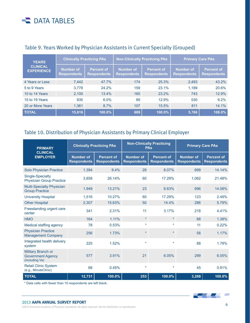| <b>YEARS</b>                         | <b>Clinically Practicing PAs</b> |                                         |                                        | <b>Non-Clinically Practicing PAs</b>    | <b>Primary Care PAs</b>                |                                         |
|--------------------------------------|----------------------------------|-----------------------------------------|----------------------------------------|-----------------------------------------|----------------------------------------|-----------------------------------------|
| <b>CLINICAL</b><br><b>EXPERIENCE</b> | Number of<br><b>Respondents</b>  | <b>Percent of</b><br><b>Respondents</b> | <b>Number of</b><br><b>Respondents</b> | <b>Percent of</b><br><b>Respondents</b> | <b>Number of</b><br><b>Respondents</b> | <b>Percent of</b><br><b>Respondents</b> |
| 4 Years or Less                      | 7,442                            | 47.7%                                   | 174                                    | 25.3%                                   | 2,493                                  | 43.2%                                   |
| 5 to 9 Years                         | 3.778                            | 24.2%                                   | 159                                    | 23.1%                                   | 1.189                                  | 20.6%                                   |
| 10 to 14 Years                       | 2,100                            | 13.4%                                   | 160                                    | 23.2%                                   | 743                                    | 12.9%                                   |
| 15 to 19 Years                       | 935                              | $6.0\%$                                 | 89                                     | 12.9%                                   | 530                                    | 9.2%                                    |
| 20 or More Years                     | 1,361                            | 8.7%                                    | 107                                    | 15.5%                                   | 811                                    | 14.1%                                   |
| <b>TOTAL</b>                         | 15,616                           | 100.0%                                  | 689                                    | 100.0%                                  | 5,766                                  | $100.0\%$                               |

#### Table 9. Years Worked by Physician Assistants in Current Specialty (Grouped)

#### Table 10. Distribution of Physician Assistants by Primary Clinical Employer

| <b>PRIMARY</b>                                                   | <b>Clinically Practicing PAs</b>       |                                         |                                        | <b>Non-Clinically Practicing</b><br><b>PAs</b> | <b>Primary Care PAs</b>                |                                         |
|------------------------------------------------------------------|----------------------------------------|-----------------------------------------|----------------------------------------|------------------------------------------------|----------------------------------------|-----------------------------------------|
| <b>CLINICAL</b><br><b>EMPLOYER</b>                               | <b>Number of</b><br><b>Respondents</b> | <b>Percent of</b><br><b>Respondents</b> | <b>Number of</b><br><b>Respondents</b> | <b>Percent of</b><br><b>Respondents</b>        | <b>Number of</b><br><b>Respondents</b> | <b>Percent of</b><br><b>Respondents</b> |
| <b>Solo Physician Practice</b>                                   | 1,394                                  | 9.4%                                    | 28                                     | 8.07%                                          | 699                                    | 14.14%                                  |
| Single-Specialty<br><b>Physician Group Practice</b>              | 3,858                                  | 26.14%                                  | 60                                     | 17.29%                                         | 1,062                                  | 21.48%                                  |
| <b>Multi-Specialty Physician</b><br><b>Group Practice</b>        | 1,949                                  | 13.21%                                  | 23                                     | 6.63%                                          | 696                                    | 14.08%                                  |
| <b>University Hospital</b>                                       | 1,516                                  | 10.27%                                  | 60                                     | 17.29%                                         | 123                                    | 2.49%                                   |
| <b>Other Hospital</b>                                            | 2,307                                  | 15.63%                                  | 50                                     | 14.4%                                          | 286                                    | 5.79%                                   |
| Freestanding urgent care<br>center                               | 341                                    | 2.31%                                   | 11                                     | 3.17%                                          | 218                                    | 4.41%                                   |
| <b>HMO</b>                                                       | 164                                    | 1.11%                                   | $\star$                                | $\star$                                        | 68                                     | 1.38%                                   |
| <b>Medical staffing agency</b>                                   | 78                                     | 0.53%                                   | $\star$                                |                                                | 11                                     | 0.22%                                   |
| <b>Physician Practice</b><br><b>Management Company</b>           | 256                                    | 1.73%                                   | $\star$                                |                                                | 58                                     | 1.17%                                   |
| Integrated health delivery<br>system                             | 225                                    | 1.52%                                   | $\star$                                | $\star$                                        | 88                                     | 1.78%                                   |
| Military Branch or<br><b>Government Agency</b><br>(including Va) | 577                                    | 3.91%                                   | 21                                     | 6.05%                                          | 299                                    | 6.05%                                   |
| <b>Retail Clinic System</b><br>(e.g., MinuteClinic)              | 66                                     | 0.45%                                   | $\star$                                | $\star$                                        | 45                                     | 0.91%                                   |
| <b>TOTAL</b>                                                     | 12,731                                 | 100.0%                                  | 253                                    | 100.0%                                         | 3,268                                  | 100.0%                                  |

\* Data cells with fewer than 10 respondents are left blank.

#### 2013 **AAPA ANNUAL SURVEY REPORT**

©2014 American Academy of Physician Assistants. All rights reserved. Not for distribution or reproduction. 6

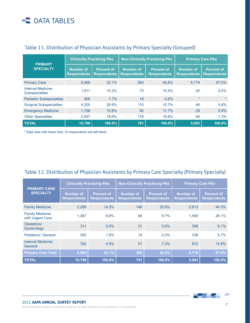| <b>PRIMARY</b><br><b>SPECIALTY</b>                | <b>Clinically Practicing PAs</b>       |                                         |                                        | <b>Non-Clinically Practicing PAs</b>    | <b>Primary Care PAs</b>                |                                         |
|---------------------------------------------------|----------------------------------------|-----------------------------------------|----------------------------------------|-----------------------------------------|----------------------------------------|-----------------------------------------|
|                                                   | <b>Number of</b><br><b>Respondents</b> | <b>Percent of</b><br><b>Respondents</b> | <b>Number of</b><br><b>Respondents</b> | <b>Percent of</b><br><b>Respondents</b> | <b>Number of</b><br><b>Respondents</b> | <b>Percent of</b><br><b>Respondents</b> |
| <b>Primary Care</b>                               | 5.069                                  | 32.1%                                   | 300                                    | 42.8%                                   | 5.719                                  | 97.0%                                   |
| <b>Internal Medicine</b><br><b>Subspecialties</b> | 1.611                                  | 10.2%                                   | 73                                     | 10.4%                                   | 24                                     | 0.4%                                    |
| <b>Pediatric Subspecialties</b>                   | 268                                    | 1.7%                                    | 18                                     | 2.6%                                    | $\star$                                |                                         |
| <b>Surgical Subspecialties</b>                    | 4.205                                  | 26.6%                                   | 110                                    | 15.7%                                   | 46                                     | 0.8%                                    |
| <b>Emergency Medicine</b>                         | 1,708                                  | 10.8%                                   | 82                                     | 11.7%                                   | 29                                     | 0.5%                                    |
| <b>Other Specialties</b>                          | 2,937                                  | 18.6%                                   | 118                                    | 16.8%                                   | 68                                     | 1.2%                                    |
| <b>TOTAL</b>                                      | 15,798                                 | 100.0%                                  | 701                                    | 100.0%                                  | 5,893                                  | 100.0%                                  |

#### Table 11. Distribution of Physician Assistants by Primary Specialty (Grouped)

\* Data cells with fewer than 10 respondents are left blank.

#### Table 12. Distribution of Physician Assistants by Primary Care Specialty (Primary Specialty)

| <b>PRIMARY CARE</b><br><b>SPECIALTY</b>    | <b>Clinically Practicing PAs</b>       |                                         | <b>Non-Clinically Practicing PAs</b> |                                         | <b>Primary Care PAs</b>         |                                         |
|--------------------------------------------|----------------------------------------|-----------------------------------------|--------------------------------------|-----------------------------------------|---------------------------------|-----------------------------------------|
|                                            | <b>Number of</b><br><b>Respondents</b> | <b>Percent of</b><br><b>Respondents</b> | Number of<br><b>Respondents</b>      | <b>Percent of</b><br><b>Respondents</b> | Number of<br><b>Respondents</b> | <b>Percent of</b><br><b>Respondents</b> |
| <b>Family Medicine</b>                     | 2,289                                  | 14.5%                                   | 146                                  | 20.8%                                   | 2,613                           | 44.3%                                   |
| <b>Family Medicine</b><br>with Urgent Care | 1.387                                  | 8.8%                                    | 68                                   | 9.7%                                    | 1,540                           | 26.1%                                   |
| Obstetrics/<br>Gynecology                  | 311                                    | 2.0%                                    | 21                                   | 3.0%                                    | 358                             | 6.1%                                    |
| <b>Pediatrics: General</b>                 | 300                                    | 1.9%                                    | 14                                   | 2.0%                                    | 336                             | 5.7%                                    |
| Internal Medicine:<br>General              | 782                                    | 4.9%                                    | 51                                   | 7.3%                                    | 872                             | 14.8%                                   |
| <b>Primary Care Total</b>                  | 5,069                                  | 32.1%                                   | 300                                  | 42.8%                                   | 5,719                           | 97.0%                                   |
| <b>TOTAL</b>                               | 15,798                                 | 100.0%                                  | 701                                  | 100.0%                                  | 5,893                           | 100.0%                                  |

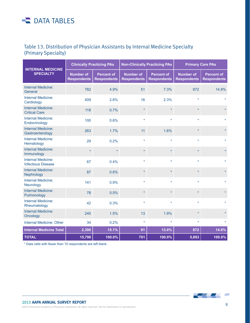#### Table 13. Distribution of Physician Assistants by Internal Medicine Specialty (Primary Specialty)

| <b>INTERNAL MEDICINE</b>                               |                                        | <b>Clinically Practicing PAs</b>        | <b>Non-Clinically Practicing PAs</b>   |                                         | <b>Primary Care PAs</b>                |                                         |
|--------------------------------------------------------|----------------------------------------|-----------------------------------------|----------------------------------------|-----------------------------------------|----------------------------------------|-----------------------------------------|
| <b>SPECIALTY</b>                                       | <b>Number of</b><br><b>Respondents</b> | <b>Percent of</b><br><b>Respondents</b> | <b>Number of</b><br><b>Respondents</b> | <b>Percent of</b><br><b>Respondents</b> | <b>Number of</b><br><b>Respondents</b> | <b>Percent of</b><br><b>Respondents</b> |
| <b>Internal Medicine:</b><br>General                   | 782                                    | 4.9%                                    | 51                                     | 7.3%                                    | 872                                    | 14.8%                                   |
| <b>Internal Medicine:</b><br>Cardiology                | 409                                    | 2.6%                                    | 16                                     | 2.3%                                    | ÷                                      |                                         |
| <b>Internal Medicine:</b><br><b>Critical Care</b>      | 118                                    | 0.7%                                    | $\star$                                |                                         | $\star$                                |                                         |
| Internal Medicine:<br>Endocrinology                    | 100                                    | 0.6%                                    | $\star$                                |                                         |                                        |                                         |
| Internal Medicine:<br>Gastroenterology                 | 263                                    | 1.7%                                    | 11                                     | 1.6%                                    | $\star$                                |                                         |
| <b>Internal Medicine:</b><br>Hematology                | 29                                     | 0.2%                                    | $\star$                                | $\star$                                 |                                        |                                         |
| <b>Internal Medicine:</b><br>Immunology                | $\star$                                | $\star$                                 | $\star$                                | $\star$                                 | $\star$                                |                                         |
| <b>Internal Medicine:</b><br><b>Infectious Disease</b> | 67                                     | 0.4%                                    | ÷                                      | $\star$                                 |                                        |                                         |
| <b>Internal Medicine:</b><br>Nephrology                | 87                                     | 0.6%                                    | $\star$                                |                                         |                                        |                                         |
| <b>Internal Medicine:</b><br>Neurology                 | 141                                    | 0.9%                                    | $\star$                                | $\star$                                 | ÷                                      |                                         |
| <b>Internal Medicine:</b><br>Pulmonology               | 78                                     | 0.5%                                    | $\star$                                |                                         |                                        |                                         |
| <b>Internal Medicine:</b><br>Rheumatology              | 42                                     | 0.3%                                    | $\star$                                | $\star$                                 | ÷                                      |                                         |
| <b>Internal Medicine:</b><br>Oncology                  | 240                                    | 1.5%                                    | 13                                     | 1.9%                                    | $\star$                                |                                         |
| <b>Internal Medicine: Other</b>                        | 34                                     | 0.2%                                    | $\star$                                | $\star$                                 | $\star$                                |                                         |
| <b>Internal Medicine Total</b>                         | 2,390                                  | 15.1%                                   | 91                                     | 13.0%                                   | 872                                    | 14.8%                                   |
| <b>TOTAL</b>                                           | 15,798                                 | 100.0%                                  | 701                                    | 100.0%                                  | 5,893                                  | 100.0%                                  |

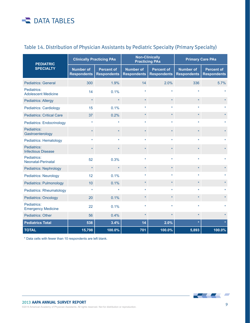| <b>PEDIATRIC</b>                          |                                        | <b>Clinically Practicing PAs</b>        | <b>Non-Clinically</b><br><b>Practicing PAs</b> |                                         | <b>Primary Care PAs</b>                |                                         |
|-------------------------------------------|----------------------------------------|-----------------------------------------|------------------------------------------------|-----------------------------------------|----------------------------------------|-----------------------------------------|
| <b>SPECIALTY</b>                          | <b>Number of</b><br><b>Respondents</b> | <b>Percent of</b><br><b>Respondents</b> | <b>Number of</b><br><b>Respondents</b>         | <b>Percent of</b><br><b>Respondents</b> | <b>Number of</b><br><b>Respondents</b> | <b>Percent of</b><br><b>Respondents</b> |
| <b>Pediatrics: General</b>                | 300                                    | 1.9%                                    | 14                                             | 2.0%                                    | 336                                    | 5.7%                                    |
| Pediatrics:<br><b>Adolescent Medicine</b> | 14                                     | 0.1%                                    |                                                |                                         |                                        |                                         |
| <b>Pediatrics: Allergy</b>                | $\star$                                |                                         |                                                | $\star$                                 | $\star$                                |                                         |
| <b>Pediatrics: Cardiology</b>             | 15                                     | 0.1%                                    |                                                |                                         |                                        |                                         |
| <b>Pediatrics: Critical Care</b>          | 37                                     | 0.2%                                    |                                                | $\star$                                 | $\star$                                |                                         |
| <b>Pediatrics: Endocrinology</b>          |                                        |                                         |                                                |                                         |                                        |                                         |
| Pediatrics:<br>Gastroenterology           | $\star$                                |                                         |                                                |                                         |                                        |                                         |
| <b>Pediatrics: Hematology</b>             |                                        |                                         |                                                |                                         |                                        |                                         |
| Pediatrics:<br><b>Infectious Disease</b>  | 4                                      |                                         |                                                |                                         |                                        |                                         |
| Pediatrics:<br>Neonatal-Perinatal         | 52                                     | 0.3%                                    |                                                |                                         |                                        |                                         |
| <b>Pediatrics: Nephrology</b>             | $\star$                                | ÷                                       |                                                | $\star$                                 | $\star$                                |                                         |
| <b>Pediatrics: Neurology</b>              | 12                                     | 0.1%                                    |                                                |                                         |                                        |                                         |
| <b>Pediatrics: Pulmonology</b>            | 10                                     | 0.1%                                    |                                                | $\star$                                 | $\star$                                |                                         |
| <b>Pediatrics: Rheumatology</b>           |                                        |                                         |                                                |                                         |                                        |                                         |
| <b>Pediatrics: Oncology</b>               | 20                                     | 0.1%                                    |                                                | $\star$                                 | $\star$                                |                                         |
| Pediatrics:<br><b>Emergency Medicine</b>  | 22                                     | 0.1%                                    |                                                |                                         |                                        |                                         |
| <b>Pediatrics: Other</b>                  | 56                                     | 0.4%                                    |                                                |                                         |                                        |                                         |
| <b>Pediatrics Total</b>                   | 538                                    | 3.4%                                    | 14                                             | 2.0%                                    |                                        |                                         |
| <b>TOTAL</b>                              | 15,798                                 | 100.0%                                  | 701                                            | 100.0%                                  | 5,893                                  | 100.0%                                  |

#### Table 14. Distribution of Physician Assistants by Pediatric Specialty (Primary Specialty)

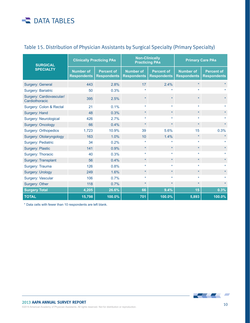| <b>SURGICAL</b>                            | <b>Clinically Practicing PAs</b>       |                                         | <b>Non-Clinically</b><br><b>Practicing PAs</b> |                                         | <b>Primary Care PAs</b>                |                                         |
|--------------------------------------------|----------------------------------------|-----------------------------------------|------------------------------------------------|-----------------------------------------|----------------------------------------|-----------------------------------------|
| <b>SPECIALTY</b>                           | <b>Number of</b><br><b>Respondents</b> | <b>Percent of</b><br><b>Respondents</b> | <b>Number of</b><br><b>Respondents</b>         | <b>Percent of</b><br><b>Respondents</b> | <b>Number of</b><br><b>Respondents</b> | <b>Percent of</b><br><b>Respondents</b> |
| Surgery: General                           | 443                                    | 2.8%                                    | 17                                             | 2.4%                                    | $\star$                                |                                         |
| <b>Surgery: Bariatric</b>                  | 50                                     | 0.3%                                    |                                                |                                         | ÷                                      |                                         |
| Surgery: Cardiovascular/<br>Cardiothoracic | 395                                    | 2.5%                                    |                                                |                                         |                                        |                                         |
| Surgery: Colon & Rectal                    | 21                                     | 0.1%                                    | $\star$                                        | $\star$                                 | $\star$                                |                                         |
| Surgery: Hand                              | 48                                     | 0.3%                                    | $\star$                                        | $\star$                                 | $\star$                                |                                         |
| <b>Surgery: Neurological</b>               | 426                                    | 2.7%                                    | $\star$                                        | $\star$                                 | $\star$                                |                                         |
| <b>Surgery: Oncology</b>                   | 66                                     | 0.4%                                    | $\star$                                        | $\star$                                 | $\star$                                |                                         |
| Surgery: Orthopedics                       | 1,723                                  | 10.9%                                   | 39                                             | 5.6%                                    | 15                                     | 0.3%                                    |
| Surgery: Otolaryngology                    | 163                                    | 1.0%                                    | 10                                             | 1.4%                                    | $\star$                                |                                         |
| <b>Surgery: Pediatric</b>                  | 34                                     | 0.2%                                    |                                                | $\star$                                 | $\star$                                |                                         |
| <b>Surgery: Plastic</b>                    | 141                                    | 0.9%                                    | $\star$                                        | $\star$                                 | $\star$                                |                                         |
| Surgery: Thoracic                          | 40                                     | 0.3%                                    |                                                | $\star$                                 |                                        |                                         |
| Surgery: Transplant                        | 56                                     | 0.4%                                    | $\star$                                        | $\star$                                 | $\star$                                |                                         |
| Surgery: Trauma                            | 126                                    | 0.8%                                    |                                                | $\star$                                 |                                        |                                         |
| <b>Surgery: Urology</b>                    | 249                                    | 1.6%                                    | $\star$                                        | $\star$                                 | $\star$                                |                                         |
| Surgery: Vascular                          | 106                                    | 0.7%                                    |                                                | $\star$                                 |                                        |                                         |
| Surgery: Other                             | 118                                    | 0.7%                                    | $\star$                                        | $\star$                                 | $\star$                                |                                         |
| <b>Surgery Total</b>                       | 4,205                                  | 26.6%                                   | 66                                             | 9.4%                                    | 15                                     | 0.3%                                    |
| <b>TOTAL</b>                               | 15,798                                 | 100.0%                                  | 701                                            | 100.0%                                  | 5,893                                  | 100.0%                                  |

#### Table 15. Distribution of Physician Assistants by Surgical Specialty (Primary Specialty)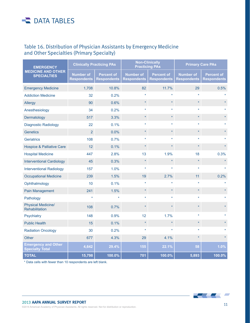#### Table 16. Distribution of Physician Assistants by Emergency Medicine and Other Specialties (Primary Specialty)

| <b>EMERGENCY</b>                                     | <b>Clinically Practicing PAs</b>       |                                         | <b>Non-Clinically</b><br><b>Practicing PAs</b> |                                         | <b>Primary Care PAs</b>                |                                         |
|------------------------------------------------------|----------------------------------------|-----------------------------------------|------------------------------------------------|-----------------------------------------|----------------------------------------|-----------------------------------------|
| <b>MEDICINE AND OTHER</b><br><b>SPECIALTIES</b>      | <b>Number of</b><br><b>Respondents</b> | <b>Percent of</b><br><b>Respondents</b> | <b>Number of</b><br><b>Respondents</b>         | <b>Percent of</b><br><b>Respondents</b> | <b>Number of</b><br><b>Respondents</b> | <b>Percent of</b><br><b>Respondents</b> |
| <b>Emergency Medicine</b>                            | 1,708                                  | 10.8%                                   | 82                                             | 11.7%                                   | 29                                     | 0.5%                                    |
| <b>Addiction Medicine</b>                            | 32                                     | 0.2%                                    |                                                |                                         |                                        |                                         |
| Allergy                                              | 90                                     | 0.6%                                    | $\star$                                        | $\star$                                 | $\star$                                |                                         |
| Anesthesiology                                       | 34                                     | 0.2%                                    |                                                |                                         |                                        |                                         |
| Dermatology                                          | 517                                    | 3.3%                                    | $\star$                                        | $\star$                                 | $\star$                                |                                         |
| <b>Diagnostic Radiology</b>                          | 22                                     | 0.1%                                    | $\star$                                        | $\star$                                 | ÷                                      |                                         |
| <b>Genetics</b>                                      | $\overline{2}$                         | 0.0%                                    | $\star$                                        | $\star$                                 | $\star$                                |                                         |
| <b>Geriatrics</b>                                    | 108                                    | 0.7%                                    |                                                | $\star$                                 |                                        |                                         |
| <b>Hospice &amp; Palliative Care</b>                 | 12                                     | 0.1%                                    | $\star$                                        | $\star$                                 | ×                                      |                                         |
| <b>Hospital Medicine</b>                             | 447                                    | 2.8%                                    | 13                                             | 1.9%                                    | 18                                     | 0.3%                                    |
| <b>Interventional Cardiology</b>                     | 45                                     | 0.3%                                    | $\star$                                        | $\star$                                 | $\star$                                |                                         |
| <b>Interventional Radiology</b>                      | 157                                    | 1.0%                                    |                                                |                                         | ÷                                      |                                         |
| <b>Occupational Medicine</b>                         | 239                                    | 1.5%                                    | 19                                             | 2.7%                                    | 11                                     | 0.2%                                    |
| Ophthalmology                                        | 10                                     | 0.1%                                    | ٠                                              |                                         |                                        |                                         |
| Pain Management                                      | 241                                    | 1.5%                                    | $\star$                                        | $\star$                                 | ×                                      |                                         |
| Pathology                                            |                                        |                                         |                                                |                                         |                                        |                                         |
| <b>Physical Medicine/</b><br>Rehabilitation          | 108                                    | 0.7%                                    |                                                |                                         |                                        |                                         |
| Psychiatry                                           | 148                                    | 0.9%                                    | 12                                             | 1.7%                                    |                                        |                                         |
| <b>Public Health</b>                                 | 15                                     | 0.1%                                    | $\star$                                        | $\star$                                 | $\star$                                |                                         |
| <b>Radiation Oncology</b>                            | 30                                     | 0.2%                                    | $\star$                                        | $\star$                                 |                                        |                                         |
| <b>Other</b>                                         | 677                                    | 4.3%                                    | 29                                             | 4.1%                                    | ÷                                      |                                         |
| <b>Emergency and Other</b><br><b>Specialty Total</b> | 4,642                                  | 29.4%                                   | 155                                            | 22.1%                                   | 58                                     | 1.0%                                    |
| <b>TOTAL</b>                                         | 15,798                                 | 100.0%                                  | 701                                            | 100.0%                                  | 5,893                                  | 100.0%                                  |

\* Data cells with fewer than 10 respondents are left blank.

 $\overline{\phantom{a}}$  $\overline{\phantom{a}}$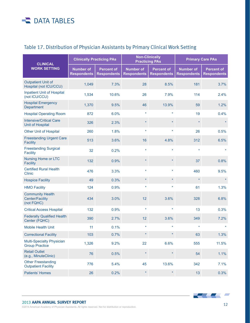#### Table 17. Distribution of Physician Assistants by Primary Clinical Work Setting

| <b>CLINICAL</b>                                                 | <b>Clinically Practicing PAs</b>       |                                         | <b>Non-Clinically</b><br><b>Practicing PAs</b> |                                         | <b>Primary Care PAs</b>                |                                         |
|-----------------------------------------------------------------|----------------------------------------|-----------------------------------------|------------------------------------------------|-----------------------------------------|----------------------------------------|-----------------------------------------|
| <b>WORK SETTING</b>                                             | <b>Number of</b><br><b>Respondents</b> | <b>Percent of</b><br><b>Respondents</b> | <b>Number of</b><br><b>Respondents</b>         | <b>Percent of</b><br><b>Respondents</b> | <b>Number of</b><br><b>Respondents</b> | <b>Percent of</b><br><b>Respondents</b> |
| <b>Outpatient Unit of</b><br>Hospital (not ICU/CCU)             | 1,049                                  | 7.3%                                    | 28                                             | 8.5%                                    | 181                                    | 3.7%                                    |
| <b>Inpatient Unit of Hospital</b><br>(not ICU/CCU)              | 1,534                                  | 10.6%                                   | 26                                             | 7.9%                                    | 114                                    | 2.4%                                    |
| <b>Hospital Emergency</b><br>Department                         | 1,370                                  | 9.5%                                    | 46                                             | 13.9%                                   | 59                                     | 1.2%                                    |
| <b>Hospital Operating Room</b>                                  | 872                                    | 6.0%                                    | $\star$                                        | $\star$                                 | 19                                     | 0.4%                                    |
| <b>Intensive/Critical Care</b><br><b>Unit of Hospital</b>       | 326                                    | 2.3%                                    | $\star$                                        | $\star$                                 | $\star$                                |                                         |
| <b>Other Unit of Hospital</b>                                   | 260                                    | 1.8%                                    | $\star$                                        | $\star$                                 | 26                                     | 0.5%                                    |
| <b>Freestanding Urgent Care</b><br><b>Facility</b>              | 513                                    | 3.6%                                    | 16                                             | 4.8%                                    | 312                                    | 6.5%                                    |
| <b>Freestanding Surgical</b><br><b>Facility</b>                 | 32                                     | 0.2%                                    | $\star$                                        | $\star$                                 | $\star$                                |                                         |
| Nursing Home or LTC<br><b>Facility</b>                          | 132                                    | 0.9%                                    |                                                | $\star$                                 | 37                                     | 0.8%                                    |
| <b>Certified Rural Health</b><br><b>Clinic</b>                  | 476                                    | 3.3%                                    | $\star$                                        | $\star$                                 | 460                                    | 9.5%                                    |
| <b>Hospice Facility</b>                                         | 49                                     | 0.3%                                    | $\star$                                        | $\star$                                 | $\star$                                |                                         |
| <b>HMO Facility</b>                                             | 124                                    | 0.9%                                    | $\star$                                        | $\star$                                 | 61                                     | 1.3%                                    |
| <b>Community Health</b><br><b>Center/Facility</b><br>(not FQHC) | 434                                    | 3.0%                                    | 12                                             | 3.6%                                    | 328                                    | 6.8%                                    |
| <b>Critical Access Hospital</b>                                 | 132                                    | 0.9%                                    | $\star$                                        | $\star$                                 | 13                                     | 0.3%                                    |
| <b>Federally Qualified Health</b><br>Center (FQHC)              | 390                                    | 2.7%                                    | 12                                             | 3.6%                                    | 349                                    | 7.2%                                    |
| <b>Mobile Health Unit</b>                                       | 11                                     | 0.1%                                    |                                                |                                         | $\star$                                |                                         |
| <b>Correctional Facility</b>                                    | 103                                    | 0.7%                                    | $\star$                                        | $\star$                                 | 63                                     | 1.3%                                    |
| <b>Multi-Specialty Physician</b><br><b>Group Practice</b>       | 1,326                                  | 9.2%                                    | 22                                             | 6.6%                                    | 555                                    | 11.5%                                   |
| <b>Retail Outlet</b><br>(e.g., MinuteClinic)                    | 76                                     | 0.5%                                    |                                                | $\star$                                 | 54                                     | 1.1%                                    |
| <b>Other Freestanding</b><br><b>Outpatient Facility</b>         | 776                                    | 5.4%                                    | 45                                             | 13.6%                                   | 342                                    | 7.1%                                    |
| <b>Patients' Homes</b>                                          | 26                                     | 0.2%                                    | $\star$                                        | $\star$                                 | 13                                     | 0.3%                                    |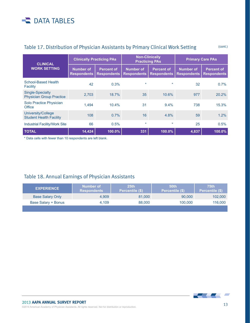| <b>CLINICAL</b><br><b>WORK SETTING</b>               | <b>Clinically Practicing PAs</b>       |                                         | <b>Non-Clinically</b><br><b>Practicing PAs</b> |                                         | <b>Primary Care PAs</b>                |                                         |
|------------------------------------------------------|----------------------------------------|-----------------------------------------|------------------------------------------------|-----------------------------------------|----------------------------------------|-----------------------------------------|
|                                                      | <b>Number of</b><br><b>Respondents</b> | <b>Percent of</b><br><b>Respondents</b> | Number of<br><b>Respondents</b>                | <b>Percent of</b><br><b>Respondents</b> | <b>Number of</b><br><b>Respondents</b> | <b>Percent of</b><br><b>Respondents</b> |
| <b>School-Based Health</b><br>Facility               | 42                                     | 0.3%                                    |                                                | $\ast$                                  | 32                                     | 0.7%                                    |
| Single-Specialty<br><b>Physician Group Practice</b>  | 2.703                                  | 18.7%                                   | 35                                             | 10.6%                                   | 977                                    | 20.2%                                   |
| Solo Practice Physician<br>Office                    | 1.494                                  | 10.4%                                   | 31                                             | $9.4\%$                                 | 738                                    | 15.3%                                   |
| University/College<br><b>Student Health Facility</b> | 108                                    | 0.7%                                    | 16                                             | 4.8%                                    | 59                                     | 1.2%                                    |
| <b>Industrial Facility/Work Site</b>                 | 66                                     | 0.5%                                    | $\star$                                        | $\star$                                 | 25                                     | 0.5%                                    |
| <b>TOTAL</b>                                         | 14,424                                 | 100.0%                                  | 331                                            | 100.0%                                  | 4,837                                  | 100.0%                                  |

#### Table 17. Distribution of Physician Assistants by Primary Clinical Work Setting (cont.)

\* Data cells with fewer than 10 respondents are left blank.

#### Table 18. Annual Earnings of Physician Assistants

| <b>EXPERIENCE</b>       | Number of<br><b>Respondents</b> | 25 <sub>th</sub><br>Percentile (\$) | <b>50th</b><br>Percentile (\$) | <b>75th</b><br>Percentile (\$) |
|-------------------------|---------------------------------|-------------------------------------|--------------------------------|--------------------------------|
| <b>Base Salary Only</b> | 4,909                           | 81,000                              | 90,000                         | 102,000                        |
| Base Salary + Bonus     | 4.109                           | 88,000                              | 100,000                        | 116,000                        |
|                         |                                 |                                     |                                |                                |